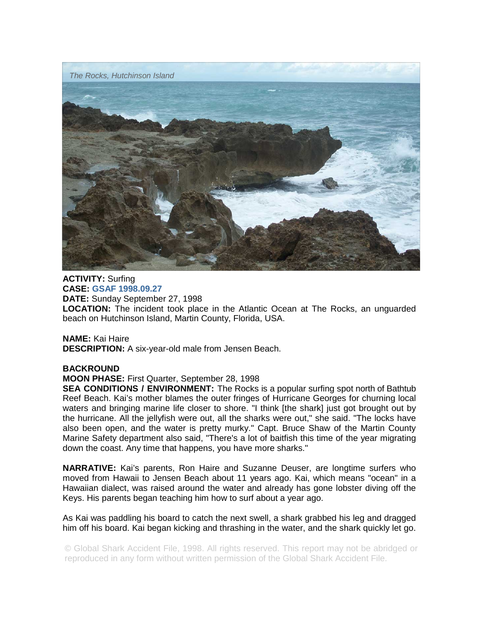

**ACTIVITY:** Surfing **CASE: GSAF 1998.09.27 DATE:** Sunday September 27, 1998 **LOCATION:** The incident took place in the Atlantic Ocean at The Rocks, an unguarded beach on Hutchinson Island, Martin County, Florida, USA.

**NAME:** Kai Haire **DESCRIPTION:** A six-year-old male from Jensen Beach.

## **BACKROUND**

**MOON PHASE:** First Quarter, September 28, 1998

**SEA CONDITIONS / ENVIRONMENT:** The Rocks is a popular surfing spot north of Bathtub Reef Beach. Kai's mother blames the outer fringes of Hurricane Georges for churning local waters and bringing marine life closer to shore. "I think [the shark] just got brought out by the hurricane. All the jellyfish were out, all the sharks were out," she said. "The locks have also been open, and the water is pretty murky." Capt. Bruce Shaw of the Martin County Marine Safety department also said, "There's a lot of baitfish this time of the year migrating down the coast. Any time that happens, you have more sharks."

**NARRATIVE:** Kai's parents, Ron Haire and Suzanne Deuser, are longtime surfers who moved from Hawaii to Jensen Beach about 11 years ago. Kai, which means "ocean" in a Hawaiian dialect, was raised around the water and already has gone lobster diving off the Keys. His parents began teaching him how to surf about a year ago.

As Kai was paddling his board to catch the next swell, a shark grabbed his leg and dragged him off his board. Kai began kicking and thrashing in the water, and the shark quickly let go.

© Global Shark Accident File, 1998. All rights reserved. This report may not be abridged or reproduced in any form without written permission of the Global Shark Accident File.